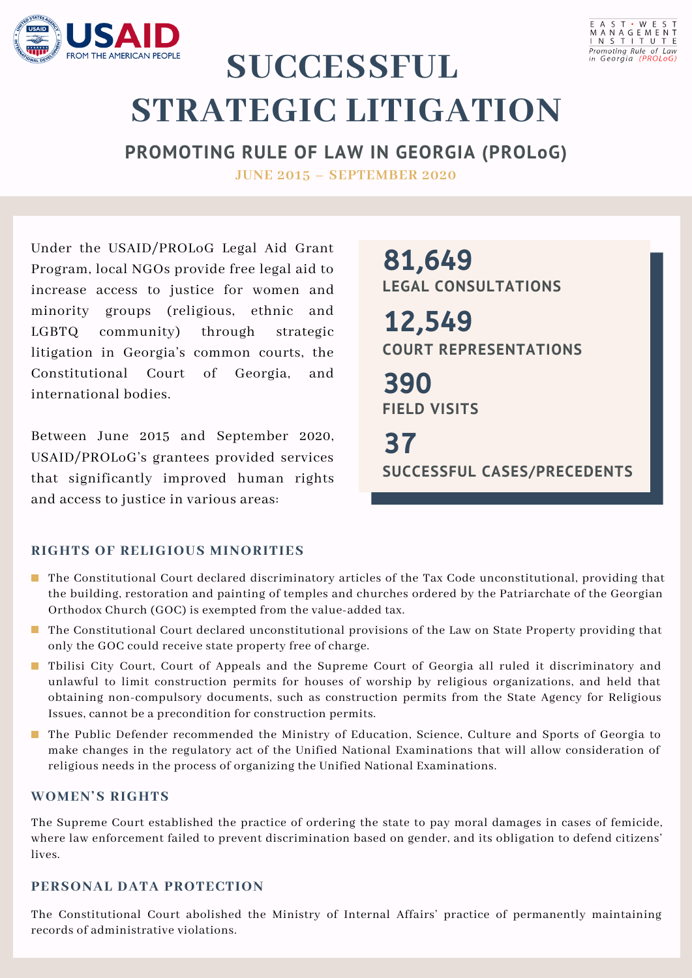



# **SUCCESSFUL STRATEGIC LITIGATION**

**PROMOTING RULE OF LAW IN GEORGIA (PROLoG) JUNE 2015 – SEPTEMBER 2020**

Under the USAID/PROLoG Legal Aid Grant Program, local NGOs provide free legal aid to increase access to justice for women and minority groups (religious, ethnic and LGBTQ community) through strategic litigation in Georgia's common courts, the Constitutional Court of Georgia, and international bodies.

Between June 2015 and September 2020, USAID/PROLoG's grantees provided services that significantly improved human rights and access to justice in various areas:

**LEGAL CONSULTATIONS** 81,649

**COURT REPRESENTATIONS** 12,549

**FIELD VISITS** 390

**SUCCESSFUL CASES/PRECEDENTS** 37

#### **RIGHTS OF RELIGIOUS MINORITIES**

- **The Constitutional Court declared discriminatory articles of the Tax Code unconstitutional, providing that** the building, restoration and painting of temples and churches ordered by the Patriarchate of the Georgian Orthodox Church (GOC) is exempted from the value-added tax.
- **The Constitutional Court declared unconstitutional provisions of the Law on State Property providing that** only the GOC could receive state property free of charge.
- Tbilisi City Court, Court of Appeals and the Supreme Court of Georgia all ruled it discriminatory and unlawful to limit construction permits for houses of worship by religious organizations, and held that obtaining non-compulsory documents, such as construction permits from the State Agency for Religious Issues, cannot be a precondition for construction permits.
- **The Public Defender recommended the Ministry of Education, Science, Culture and Sports of Georgia to** make changes in the regulatory act of the Unified National Examinations that will allow consideration of religious needs in the process of organizing the Unified National Examinations.

#### **WOMEN'S RIGHTS**

The Supreme Court established the practice of ordering the state to pay moral damages in cases of femicide, where law enforcement failed to prevent discrimination based on gender, and its obligation to defend citizens' lives.

## **PERSONAL DATA PROTECTION**

The Constitutional Court abolished the Ministry of Internal Affairs' practice of permanently maintaining records of administrative violations.